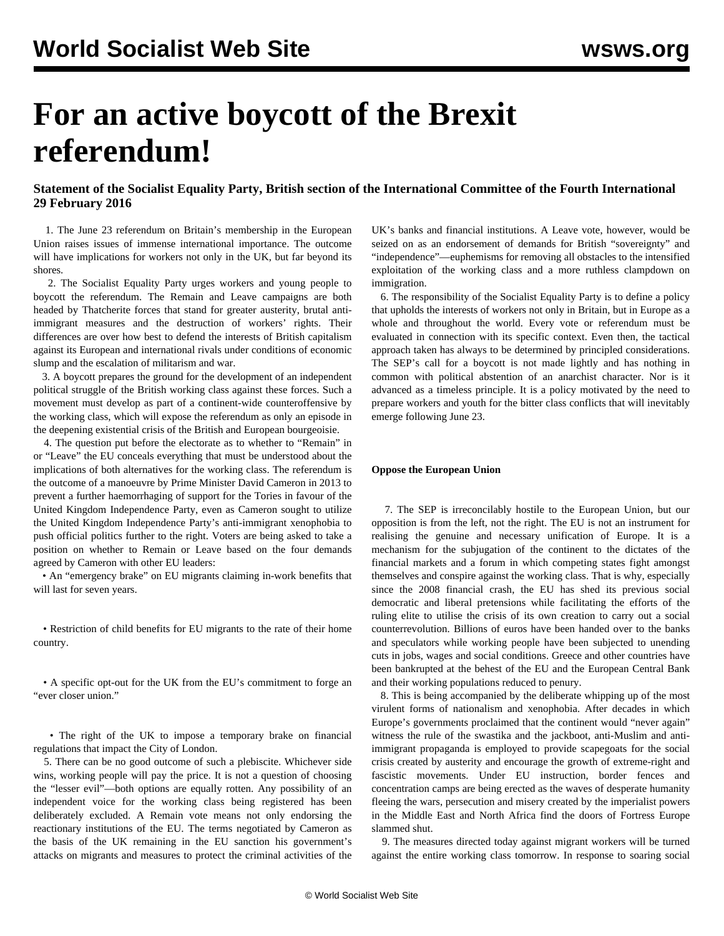# **For an active boycott of the Brexit referendum!**

# **Statement of the Socialist Equality Party, British section of the International Committee of the Fourth International 29 February 2016**

 1. The June 23 referendum on Britain's membership in the European Union raises issues of immense international importance. The outcome will have implications for workers not only in the UK, but far beyond its shores.

 2. The Socialist Equality Party urges workers and young people to boycott the referendum. The Remain and Leave campaigns are both headed by Thatcherite forces that stand for greater austerity, brutal antiimmigrant measures and the destruction of workers' rights. Their differences are over how best to defend the interests of British capitalism against its European and international rivals under conditions of economic slump and the escalation of militarism and war.

 3. A boycott prepares the ground for the development of an independent political struggle of the British working class against these forces. Such a movement must develop as part of a continent-wide counteroffensive by the working class, which will expose the referendum as only an episode in the deepening existential crisis of the British and European bourgeoisie.

 4. The question put before the electorate as to whether to "Remain" in or "Leave" the EU conceals everything that must be understood about the implications of both alternatives for the working class. The referendum is the outcome of a manoeuvre by Prime Minister David Cameron in 2013 to prevent a further haemorrhaging of support for the Tories in favour of the United Kingdom Independence Party, even as Cameron sought to utilize the United Kingdom Independence Party's anti-immigrant xenophobia to push official politics further to the right. Voters are being asked to take a position on whether to Remain or Leave based on the four demands agreed by Cameron with other EU leaders:

 • An "emergency brake" on EU migrants claiming in-work benefits that will last for seven years.

 • Restriction of child benefits for EU migrants to the rate of their home country.

 • A specific opt-out for the UK from the EU's commitment to forge an "ever closer union."

 • The right of the UK to impose a temporary brake on financial regulations that impact the City of London.

 5. There can be no good outcome of such a plebiscite. Whichever side wins, working people will pay the price. It is not a question of choosing the "lesser evil"—both options are equally rotten. Any possibility of an independent voice for the working class being registered has been deliberately excluded. A Remain vote means not only endorsing the reactionary institutions of the EU. The terms negotiated by Cameron as the basis of the UK remaining in the EU sanction his government's attacks on migrants and measures to protect the criminal activities of the UK's banks and financial institutions. A Leave vote, however, would be seized on as an endorsement of demands for British "sovereignty" and "independence"—euphemisms for removing all obstacles to the intensified exploitation of the working class and a more ruthless clampdown on immigration.

 6. The responsibility of the Socialist Equality Party is to define a policy that upholds the interests of workers not only in Britain, but in Europe as a whole and throughout the world. Every vote or referendum must be evaluated in connection with its specific context. Even then, the tactical approach taken has always to be determined by principled considerations. The SEP's call for a boycott is not made lightly and has nothing in common with political abstention of an anarchist character. Nor is it advanced as a timeless principle. It is a policy motivated by the need to prepare workers and youth for the bitter class conflicts that will inevitably emerge following June 23.

# **Oppose the European Union**

 7. The SEP is irreconcilably hostile to the European Union, but our opposition is from the left, not the right. The EU is not an instrument for realising the genuine and necessary unification of Europe. It is a mechanism for the subjugation of the continent to the dictates of the financial markets and a forum in which competing states fight amongst themselves and conspire against the working class. That is why, especially since the 2008 financial crash, the EU has shed its previous social democratic and liberal pretensions while facilitating the efforts of the ruling elite to utilise the crisis of its own creation to carry out a social counterrevolution. Billions of euros have been handed over to the banks and speculators while working people have been subjected to unending cuts in jobs, wages and social conditions. Greece and other countries have been bankrupted at the behest of the EU and the European Central Bank and their working populations reduced to penury.

 8. This is being accompanied by the deliberate whipping up of the most virulent forms of nationalism and xenophobia. After decades in which Europe's governments proclaimed that the continent would "never again" witness the rule of the swastika and the jackboot, anti-Muslim and antiimmigrant propaganda is employed to provide scapegoats for the social crisis created by austerity and encourage the growth of extreme-right and fascistic movements. Under EU instruction, border fences and concentration camps are being erected as the waves of desperate humanity fleeing the wars, persecution and misery created by the imperialist powers in the Middle East and North Africa find the doors of Fortress Europe slammed shut.

 9. The measures directed today against migrant workers will be turned against the entire working class tomorrow. In response to soaring social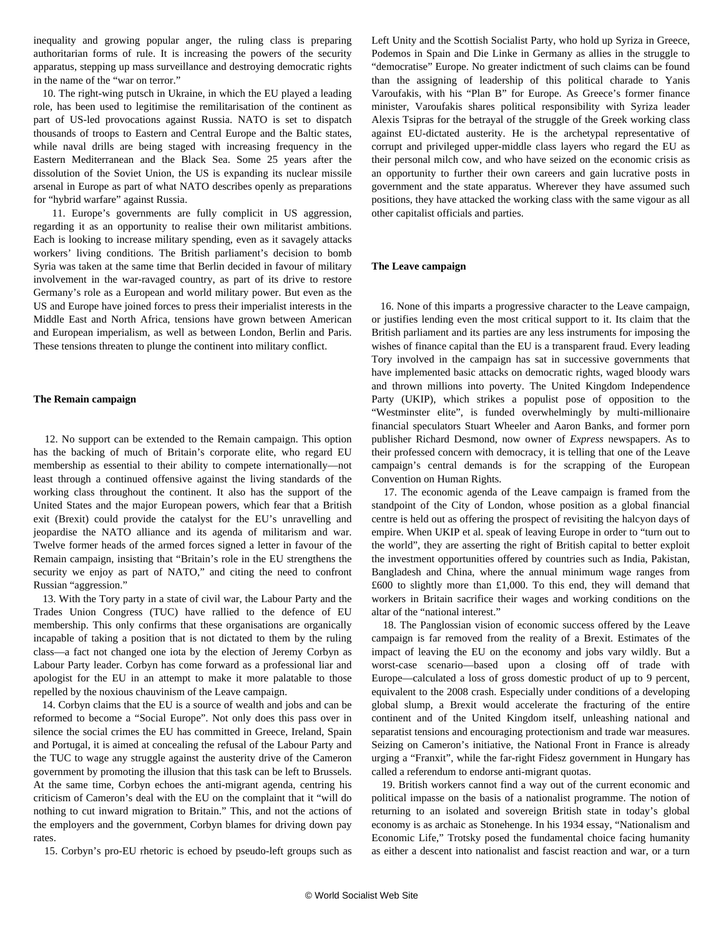inequality and growing popular anger, the ruling class is preparing authoritarian forms of rule. It is increasing the powers of the security apparatus, stepping up mass surveillance and destroying democratic rights in the name of the "war on terror."

 10. The right-wing putsch in Ukraine, in which the EU played a leading role, has been used to legitimise the remilitarisation of the continent as part of US-led provocations against Russia. NATO is set to dispatch thousands of troops to Eastern and Central Europe and the Baltic states, while naval drills are being staged with increasing frequency in the Eastern Mediterranean and the Black Sea. Some 25 years after the dissolution of the Soviet Union, the US is expanding its nuclear missile arsenal in Europe as part of what NATO describes openly as preparations for "hybrid warfare" against Russia.

 11. Europe's governments are fully complicit in US aggression, regarding it as an opportunity to realise their own militarist ambitions. Each is looking to increase military spending, even as it savagely attacks workers' living conditions. The British parliament's decision to bomb Syria was taken at the same time that Berlin decided in favour of military involvement in the war-ravaged country, as part of its drive to restore Germany's role as a European and world military power. But even as the US and Europe have joined forces to press their imperialist interests in the Middle East and North Africa, tensions have grown between American and European imperialism, as well as between London, Berlin and Paris. These tensions threaten to plunge the continent into military conflict.

## **The Remain campaign**

 12. No support can be extended to the Remain campaign. This option has the backing of much of Britain's corporate elite, who regard EU membership as essential to their ability to compete internationally—not least through a continued offensive against the living standards of the working class throughout the continent. It also has the support of the United States and the major European powers, which fear that a British exit (Brexit) could provide the catalyst for the EU's unravelling and jeopardise the NATO alliance and its agenda of militarism and war. Twelve former heads of the armed forces signed a letter in favour of the Remain campaign, insisting that "Britain's role in the EU strengthens the security we enjoy as part of NATO," and citing the need to confront Russian "aggression."

 13. With the Tory party in a state of civil war, the Labour Party and the Trades Union Congress (TUC) have rallied to the defence of EU membership. This only confirms that these organisations are organically incapable of taking a position that is not dictated to them by the ruling class—a fact not changed one iota by the election of Jeremy Corbyn as Labour Party leader. Corbyn has come forward as a professional liar and apologist for the EU in an attempt to make it more palatable to those repelled by the noxious chauvinism of the Leave campaign.

 14. Corbyn claims that the EU is a source of wealth and jobs and can be reformed to become a "Social Europe". Not only does this pass over in silence the social crimes the EU has committed in Greece, Ireland, Spain and Portugal, it is aimed at concealing the refusal of the Labour Party and the TUC to wage any struggle against the austerity drive of the Cameron government by promoting the illusion that this task can be left to Brussels. At the same time, Corbyn echoes the anti-migrant agenda, centring his criticism of Cameron's deal with the EU on the complaint that it "will do nothing to cut inward migration to Britain." This, and not the actions of the employers and the government, Corbyn blames for driving down pay rates.

15. Corbyn's pro-EU rhetoric is echoed by pseudo-left groups such as

Left Unity and the Scottish Socialist Party, who hold up Syriza in Greece, Podemos in Spain and Die Linke in Germany as allies in the struggle to "democratise" Europe. No greater indictment of such claims can be found than the assigning of leadership of this political charade to Yanis Varoufakis, with his "Plan B" for Europe. As Greece's former finance minister, Varoufakis shares political responsibility with Syriza leader Alexis Tsipras for the betrayal of the struggle of the Greek working class against EU-dictated austerity. He is the archetypal representative of corrupt and privileged upper-middle class layers who regard the EU as their personal milch cow, and who have seized on the economic crisis as an opportunity to further their own careers and gain lucrative posts in government and the state apparatus. Wherever they have assumed such positions, they have attacked the working class with the same vigour as all other capitalist officials and parties.

#### **The Leave campaign**

 16. None of this imparts a progressive character to the Leave campaign, or justifies lending even the most critical support to it. Its claim that the British parliament and its parties are any less instruments for imposing the wishes of finance capital than the EU is a transparent fraud. Every leading Tory involved in the campaign has sat in successive governments that have implemented basic attacks on democratic rights, waged bloody wars and thrown millions into poverty. The United Kingdom Independence Party (UKIP), which strikes a populist pose of opposition to the "Westminster elite", is funded overwhelmingly by multi-millionaire financial speculators Stuart Wheeler and Aaron Banks, and former porn publisher Richard Desmond, now owner of *Express* newspapers. As to their professed concern with democracy, it is telling that one of the Leave campaign's central demands is for the scrapping of the European Convention on Human Rights.

 17. The economic agenda of the Leave campaign is framed from the standpoint of the City of London, whose position as a global financial centre is held out as offering the prospect of revisiting the halcyon days of empire. When UKIP et al. speak of leaving Europe in order to "turn out to the world", they are asserting the right of British capital to better exploit the investment opportunities offered by countries such as India, Pakistan, Bangladesh and China, where the annual minimum wage ranges from £600 to slightly more than £1,000. To this end, they will demand that workers in Britain sacrifice their wages and working conditions on the altar of the "national interest."

 18. The Panglossian vision of economic success offered by the Leave campaign is far removed from the reality of a Brexit. Estimates of the impact of leaving the EU on the economy and jobs vary wildly. But a worst-case scenario—based upon a closing off of trade with Europe—calculated a loss of gross domestic product of up to 9 percent, equivalent to the 2008 crash. Especially under conditions of a developing global slump, a Brexit would accelerate the fracturing of the entire continent and of the United Kingdom itself, unleashing national and separatist tensions and encouraging protectionism and trade war measures. Seizing on Cameron's initiative, the National Front in France is already urging a "Franxit", while the far-right Fidesz government in Hungary has called a referendum to endorse anti-migrant quotas.

 19. British workers cannot find a way out of the current economic and political impasse on the basis of a nationalist programme. The notion of returning to an isolated and sovereign British state in today's global economy is as archaic as Stonehenge. In his 1934 essay, "Nationalism and Economic Life," Trotsky posed the fundamental choice facing humanity as either a descent into nationalist and fascist reaction and war, or a turn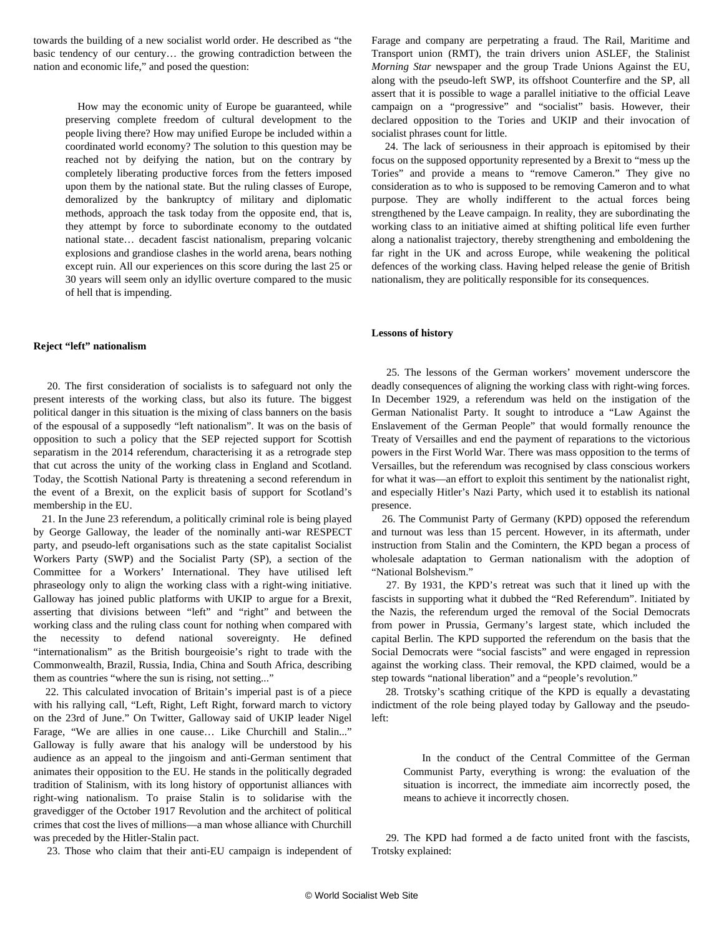towards the building of a new socialist world order. He described as "the basic tendency of our century… the growing contradiction between the nation and economic life," and posed the question:

 How may the economic unity of Europe be guaranteed, while preserving complete freedom of cultural development to the people living there? How may unified Europe be included within a coordinated world economy? The solution to this question may be reached not by deifying the nation, but on the contrary by completely liberating productive forces from the fetters imposed upon them by the national state. But the ruling classes of Europe, demoralized by the bankruptcy of military and diplomatic methods, approach the task today from the opposite end, that is, they attempt by force to subordinate economy to the outdated national state… decadent fascist nationalism, preparing volcanic explosions and grandiose clashes in the world arena, bears nothing except ruin. All our experiences on this score during the last 25 or 30 years will seem only an idyllic overture compared to the music of hell that is impending.

## **Reject "left" nationalism**

 20. The first consideration of socialists is to safeguard not only the present interests of the working class, but also its future. The biggest political danger in this situation is the mixing of class banners on the basis of the espousal of a supposedly "left nationalism". It was on the basis of opposition to such a policy that the SEP rejected support for Scottish separatism in the 2014 referendum, characterising it as a retrograde step that cut across the unity of the working class in England and Scotland. Today, the Scottish National Party is threatening a second referendum in the event of a Brexit, on the explicit basis of support for Scotland's membership in the EU.

 21. In the June 23 referendum, a politically criminal role is being played by George Galloway, the leader of the nominally anti-war RESPECT party, and pseudo-left organisations such as the state capitalist Socialist Workers Party (SWP) and the Socialist Party (SP), a section of the Committee for a Workers' International. They have utilised left phraseology only to align the working class with a right-wing initiative. Galloway has joined public platforms with UKIP to argue for a Brexit, asserting that divisions between "left" and "right" and between the working class and the ruling class count for nothing when compared with the necessity to defend national sovereignty. He defined "internationalism" as the British bourgeoisie's right to trade with the Commonwealth, Brazil, Russia, India, China and South Africa, describing them as countries "where the sun is rising, not setting..."

 22. This calculated invocation of Britain's imperial past is of a piece with his rallying call, "Left, Right, Left Right, forward march to victory on the 23rd of June." On Twitter, Galloway said of UKIP leader Nigel Farage, "We are allies in one cause… Like Churchill and Stalin..." Galloway is fully aware that his analogy will be understood by his audience as an appeal to the jingoism and anti-German sentiment that animates their opposition to the EU. He stands in the politically degraded tradition of Stalinism, with its long history of opportunist alliances with right-wing nationalism. To praise Stalin is to solidarise with the gravedigger of the October 1917 Revolution and the architect of political crimes that cost the lives of millions—a man whose alliance with Churchill was preceded by the Hitler-Stalin pact.

23. Those who claim that their anti-EU campaign is independent of

Farage and company are perpetrating a fraud. The Rail, Maritime and Transport union (RMT), the train drivers union ASLEF, the Stalinist *Morning Star* newspaper and the group Trade Unions Against the EU, along with the pseudo-left SWP, its offshoot Counterfire and the SP, all assert that it is possible to wage a parallel initiative to the official Leave campaign on a "progressive" and "socialist" basis. However, their declared opposition to the Tories and UKIP and their invocation of socialist phrases count for little.

 24. The lack of seriousness in their approach is epitomised by their focus on the supposed opportunity represented by a Brexit to "mess up the Tories" and provide a means to "remove Cameron." They give no consideration as to who is supposed to be removing Cameron and to what purpose. They are wholly indifferent to the actual forces being strengthened by the Leave campaign. In reality, they are subordinating the working class to an initiative aimed at shifting political life even further along a nationalist trajectory, thereby strengthening and emboldening the far right in the UK and across Europe, while weakening the political defences of the working class. Having helped release the genie of British nationalism, they are politically responsible for its consequences.

#### **Lessons of history**

 25. The lessons of the German workers' movement underscore the deadly consequences of aligning the working class with right-wing forces. In December 1929, a referendum was held on the instigation of the German Nationalist Party. It sought to introduce a "Law Against the Enslavement of the German People" that would formally renounce the Treaty of Versailles and end the payment of reparations to the victorious powers in the First World War. There was mass opposition to the terms of Versailles, but the referendum was recognised by class conscious workers for what it was—an effort to exploit this sentiment by the nationalist right, and especially Hitler's Nazi Party, which used it to establish its national presence.

 26. The Communist Party of Germany (KPD) opposed the referendum and turnout was less than 15 percent. However, in its aftermath, under instruction from Stalin and the Comintern, the KPD began a process of wholesale adaptation to German nationalism with the adoption of "National Bolshevism."

 27. By 1931, the KPD's retreat was such that it lined up with the fascists in supporting what it dubbed the "Red Referendum". Initiated by the Nazis, the referendum urged the removal of the Social Democrats from power in Prussia, Germany's largest state, which included the capital Berlin. The KPD supported the referendum on the basis that the Social Democrats were "social fascists" and were engaged in repression against the working class. Their removal, the KPD claimed, would be a step towards "national liberation" and a "people's revolution."

 28. Trotsky's scathing critique of the KPD is equally a devastating indictment of the role being played today by Galloway and the pseudoleft:

 In the conduct of the Central Committee of the German Communist Party, everything is wrong: the evaluation of the situation is incorrect, the immediate aim incorrectly posed, the means to achieve it incorrectly chosen.

 29. The KPD had formed a de facto united front with the fascists, Trotsky explained: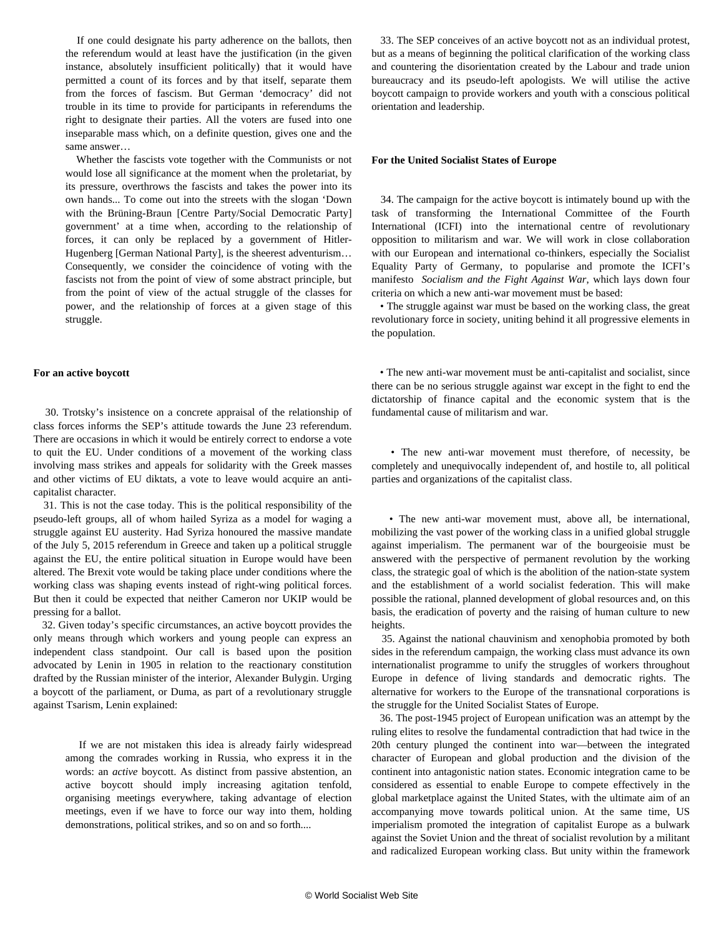If one could designate his party adherence on the ballots, then the referendum would at least have the justification (in the given instance, absolutely insufficient politically) that it would have permitted a count of its forces and by that itself, separate them from the forces of fascism. But German 'democracy' did not trouble in its time to provide for participants in referendums the right to designate their parties. All the voters are fused into one inseparable mass which, on a definite question, gives one and the same answer…

 Whether the fascists vote together with the Communists or not would lose all significance at the moment when the proletariat, by its pressure, overthrows the fascists and takes the power into its own hands... To come out into the streets with the slogan 'Down with the Brüning-Braun [Centre Party/Social Democratic Party] government' at a time when, according to the relationship of forces, it can only be replaced by a government of Hitler-Hugenberg [German National Party], is the sheerest adventurism… Consequently, we consider the coincidence of voting with the fascists not from the point of view of some abstract principle, but from the point of view of the actual struggle of the classes for power, and the relationship of forces at a given stage of this struggle.

#### **For an active boycott**

 30. Trotsky's insistence on a concrete appraisal of the relationship of class forces informs the SEP's attitude towards the June 23 referendum. There are occasions in which it would be entirely correct to endorse a vote to quit the EU. Under conditions of a movement of the working class involving mass strikes and appeals for solidarity with the Greek masses and other victims of EU diktats, a vote to leave would acquire an anticapitalist character.

 31. This is not the case today. This is the political responsibility of the pseudo-left groups, all of whom hailed Syriza as a model for waging a struggle against EU austerity. Had Syriza honoured the massive mandate of the July 5, 2015 referendum in Greece and taken up a political struggle against the EU, the entire political situation in Europe would have been altered. The Brexit vote would be taking place under conditions where the working class was shaping events instead of right-wing political forces. But then it could be expected that neither Cameron nor UKIP would be pressing for a ballot.

 32. Given today's specific circumstances, an active boycott provides the only means through which workers and young people can express an independent class standpoint. Our call is based upon the position advocated by Lenin in 1905 in relation to the reactionary constitution drafted by the Russian minister of the interior, Alexander Bulygin. Urging a boycott of the parliament, or Duma, as part of a revolutionary struggle against Tsarism, Lenin explained:

 If we are not mistaken this idea is already fairly widespread among the comrades working in Russia, who express it in the words: an *active* boycott. As distinct from passive abstention, an active boycott should imply increasing agitation tenfold, organising meetings everywhere, taking advantage of election meetings, even if we have to force our way into them, holding demonstrations, political strikes, and so on and so forth....

 33. The SEP conceives of an active boycott not as an individual protest, but as a means of beginning the political clarification of the working class and countering the disorientation created by the Labour and trade union bureaucracy and its pseudo-left apologists. We will utilise the active boycott campaign to provide workers and youth with a conscious political orientation and leadership.

# **For the United Socialist States of Europe**

 34. The campaign for the active boycott is intimately bound up with the task of transforming the International Committee of the Fourth International (ICFI) into the international centre of revolutionary opposition to militarism and war. We will work in close collaboration with our European and international co-thinkers, especially the Socialist Equality Party of Germany, to popularise and promote the ICFI's manifesto *[Socialism and the Fight Against War](/en/articles/2016/02/18/icfi-f18.html)*, which lays down four criteria on which a new anti-war movement must be based:

 • The struggle against war must be based on the working class, the great revolutionary force in society, uniting behind it all progressive elements in the population.

 • The new anti-war movement must be anti-capitalist and socialist, since there can be no serious struggle against war except in the fight to end the dictatorship of finance capital and the economic system that is the fundamental cause of militarism and war.

 • The new anti-war movement must therefore, of necessity, be completely and unequivocally independent of, and hostile to, all political parties and organizations of the capitalist class.

 • The new anti-war movement must, above all, be international, mobilizing the vast power of the working class in a unified global struggle against imperialism. The permanent war of the bourgeoisie must be answered with the perspective of permanent revolution by the working class, the strategic goal of which is the abolition of the nation-state system and the establishment of a world socialist federation. This will make possible the rational, planned development of global resources and, on this basis, the eradication of poverty and the raising of human culture to new heights.

 35. Against the national chauvinism and xenophobia promoted by both sides in the referendum campaign, the working class must advance its own internationalist programme to unify the struggles of workers throughout Europe in defence of living standards and democratic rights. The alternative for workers to the Europe of the transnational corporations is the struggle for the United Socialist States of Europe.

 36. The post-1945 project of European unification was an attempt by the ruling elites to resolve the fundamental contradiction that had twice in the 20th century plunged the continent into war—between the integrated character of European and global production and the division of the continent into antagonistic nation states. Economic integration came to be considered as essential to enable Europe to compete effectively in the global marketplace against the United States, with the ultimate aim of an accompanying move towards political union. At the same time, US imperialism promoted the integration of capitalist Europe as a bulwark against the Soviet Union and the threat of socialist revolution by a militant and radicalized European working class. But unity within the framework